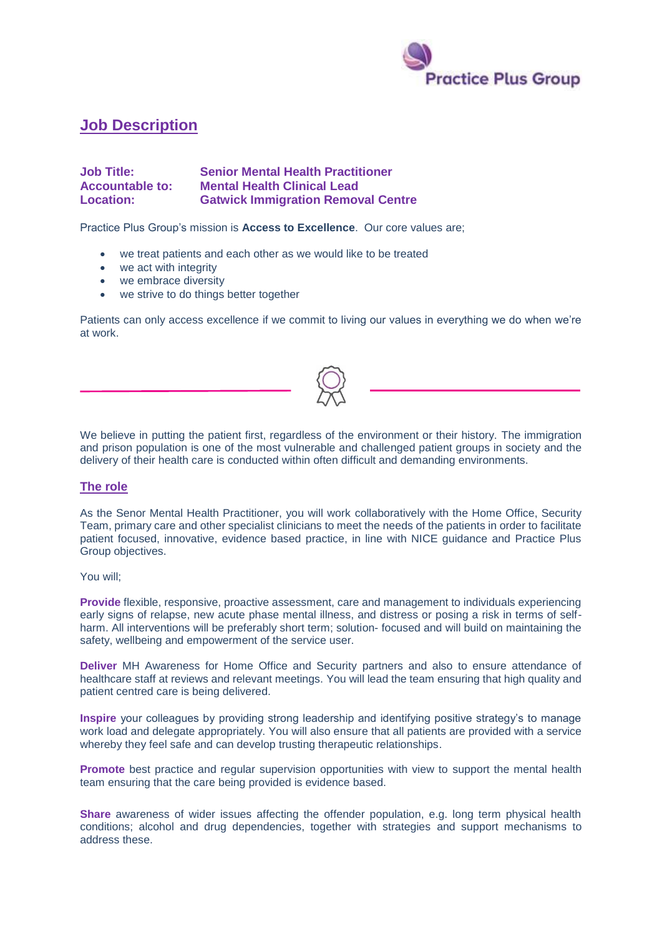

# **Job Description**

## **Job Title: Senior Mental Health Practitioner Accountable to: Mental Health Clinical Lead Location: Gatwick Immigration Removal Centre**

Practice Plus Group's mission is **Access to Excellence**. Our core values are;

- we treat patients and each other as we would like to be treated
- we act with integrity
- we embrace diversity
- we strive to do things better together

Patients can only access excellence if we commit to living our values in everything we do when we're at work.

We believe in putting the patient first, regardless of the environment or their history. The immigration and prison population is one of the most vulnerable and challenged patient groups in society and the delivery of their health care is conducted within often difficult and demanding environments.

### **The role**

As the Senor Mental Health Practitioner, you will work collaboratively with the Home Office, Security Team, primary care and other specialist clinicians to meet the needs of the patients in order to facilitate patient focused, innovative, evidence based practice, in line with NICE guidance and Practice Plus Group objectives.

#### You will;

**Provide** flexible, responsive, proactive assessment, care and management to individuals experiencing early signs of relapse, new acute phase mental illness, and distress or posing a risk in terms of selfharm. All interventions will be preferably short term; solution- focused and will build on maintaining the safety, wellbeing and empowerment of the service user.

**Deliver** MH Awareness for Home Office and Security partners and also to ensure attendance of healthcare staff at reviews and relevant meetings. You will lead the team ensuring that high quality and patient centred care is being delivered.

**Inspire** your colleagues by providing strong leadership and identifying positive strategy's to manage work load and delegate appropriately. You will also ensure that all patients are provided with a service whereby they feel safe and can develop trusting therapeutic relationships.

**Promote** best practice and regular supervision opportunities with view to support the mental health team ensuring that the care being provided is evidence based.

**Share** awareness of wider issues affecting the offender population, e.g. long term physical health conditions; alcohol and drug dependencies, together with strategies and support mechanisms to address these.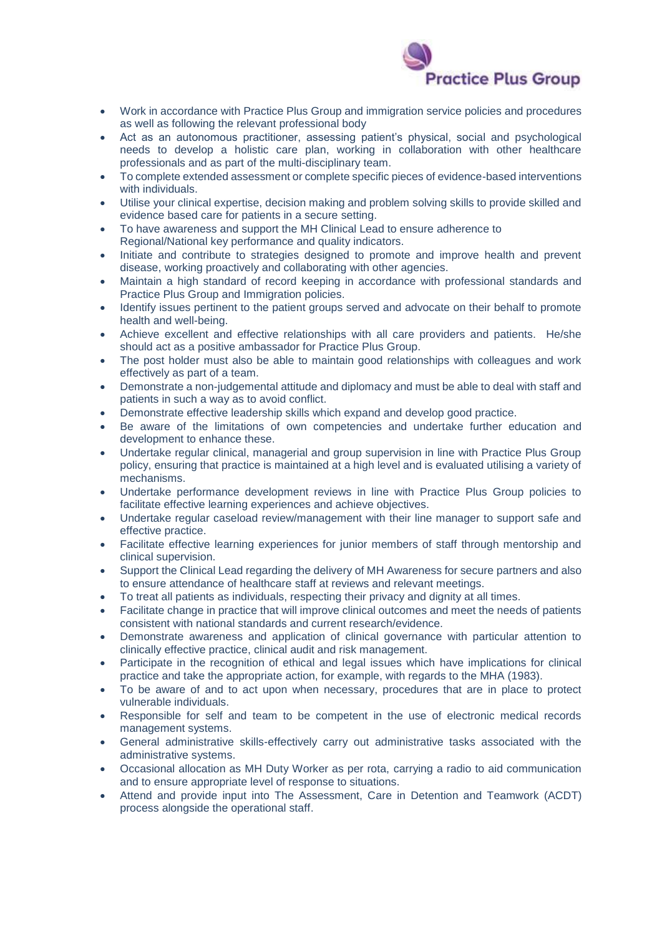

- Work in accordance with Practice Plus Group and immigration service policies and procedures as well as following the relevant professional body
- Act as an autonomous practitioner, assessing patient's physical, social and psychological needs to develop a holistic care plan, working in collaboration with other healthcare professionals and as part of the multi-disciplinary team.
- To complete extended assessment or complete specific pieces of evidence-based interventions with individuals.
- Utilise your clinical expertise, decision making and problem solving skills to provide skilled and evidence based care for patients in a secure setting.
- To have awareness and support the MH Clinical Lead to ensure adherence to Regional/National key performance and quality indicators.
- Initiate and contribute to strategies designed to promote and improve health and prevent disease, working proactively and collaborating with other agencies.
- Maintain a high standard of record keeping in accordance with professional standards and Practice Plus Group and Immigration policies.
- Identify issues pertinent to the patient groups served and advocate on their behalf to promote health and well-being.
- Achieve excellent and effective relationships with all care providers and patients. He/she should act as a positive ambassador for Practice Plus Group.
- The post holder must also be able to maintain good relationships with colleagues and work effectively as part of a team.
- Demonstrate a non-judgemental attitude and diplomacy and must be able to deal with staff and patients in such a way as to avoid conflict.
- Demonstrate effective leadership skills which expand and develop good practice.
- Be aware of the limitations of own competencies and undertake further education and development to enhance these.
- Undertake regular clinical, managerial and group supervision in line with Practice Plus Group policy, ensuring that practice is maintained at a high level and is evaluated utilising a variety of mechanisms.
- Undertake performance development reviews in line with Practice Plus Group policies to facilitate effective learning experiences and achieve objectives.
- Undertake regular caseload review/management with their line manager to support safe and effective practice.
- Facilitate effective learning experiences for junior members of staff through mentorship and clinical supervision.
- Support the Clinical Lead regarding the delivery of MH Awareness for secure partners and also to ensure attendance of healthcare staff at reviews and relevant meetings.
- To treat all patients as individuals, respecting their privacy and dignity at all times.
- Facilitate change in practice that will improve clinical outcomes and meet the needs of patients consistent with national standards and current research/evidence.
- Demonstrate awareness and application of clinical governance with particular attention to clinically effective practice, clinical audit and risk management.
- Participate in the recognition of ethical and legal issues which have implications for clinical practice and take the appropriate action, for example, with regards to the MHA (1983).
- To be aware of and to act upon when necessary, procedures that are in place to protect vulnerable individuals.
- Responsible for self and team to be competent in the use of electronic medical records management systems.
- General administrative skills-effectively carry out administrative tasks associated with the administrative systems.
- Occasional allocation as MH Duty Worker as per rota, carrying a radio to aid communication and to ensure appropriate level of response to situations.
- Attend and provide input into The Assessment, Care in Detention and Teamwork (ACDT) process alongside the operational staff.